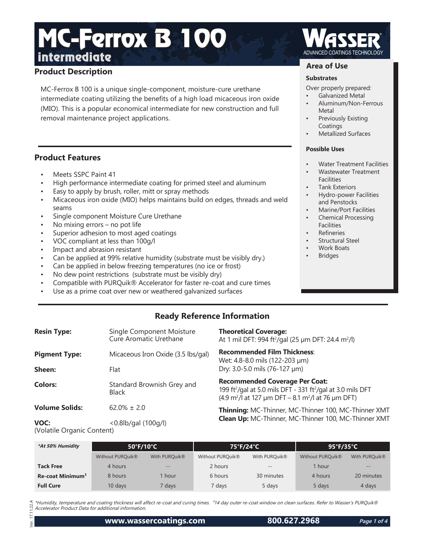## **Product Description**

MC-Ferrox B 100 is a unique single-component, moisture-cure urethane intermediate coating utilizing the benefits of a high load micaceous iron oxide (MIO). This is a popular economical intermediate for new construction and full removal maintenance project applications.

## **Product Features**

- Meets SSPC Paint 41
- High performance intermediate coating for primed steel and aluminum
- Easy to apply by brush, roller, mitt or spray methods
- Micaceous iron oxide (MIO) helps maintains build on edges, threads and weld seams
- Single component Moisture Cure Urethane
- No mixing errors no pot life
- Superior adhesion to most aged coatings
- VOC compliant at less than 100g/l
- Impact and abrasion resistant
- Can be applied at 99% relative humidity (substrate must be visibly dry.)
- Can be applied in below freezing temperatures (no ice or frost)
- No dew point restrictions (substrate must be visibly dry)
- Compatible with PURQuik® Accelerator for faster re-coat and cure times
- Use as a prime coat over new or weathered galvanized surfaces

### **Area of Use**

#### **Substrates**

- Over properly prepared:
- Galvanized Metal
- Aluminum/Non-Ferrous Metal
- Previously Existing Coatings
- Metallized Surfaces

#### **Possible Uses**

- Water Treatment Facilities
- Wastewater Treatment **Facilities**
- Tank Exteriors
- Hydro-power Facilities and Penstocks
- Marine/Port Facilities
- Chemical Processing Facilities
- **Refineries**
- Structural Steel
- Work Boats
- **Bridges**

## **Ready Reference Information**

| <b>Resin Type:</b>    | Single Component Moisture<br>Cure Aromatic Urethane | <b>Theoretical Coverage:</b><br>At 1 mil DFT: 994 ft <sup>2</sup> /gal (25 µm DFT: 24.4 m <sup>2</sup> /l)                                                                                              |  |
|-----------------------|-----------------------------------------------------|---------------------------------------------------------------------------------------------------------------------------------------------------------------------------------------------------------|--|
| <b>Pigment Type:</b>  | Micaceous Iron Oxide (3.5 lbs/gal)                  | <b>Recommended Film Thickness:</b><br>Wet: 4.8-8.0 mils (122-203 µm)                                                                                                                                    |  |
| Sheen:                | Flat                                                | Dry: 3.0-5.0 mils (76-127 µm)                                                                                                                                                                           |  |
| <b>Colors:</b>        | Standard Brownish Grey and<br>Black                 | <b>Recommended Coverage Per Coat:</b><br>199 ft <sup>2</sup> /gal at 5.0 mils DFT - 331 ft <sup>2</sup> /gal at 3.0 mils DFT<br>$(4.9 \text{ m}^2)$ at 127 µm DFT – 8.1 m <sup>2</sup> /l at 76 µm DFT) |  |
| <b>Volume Solids:</b> | $62.0\% \pm 2.0$                                    | Thinning: MC-Thinner, MC-Thinner 100, MC-Thinner XMT<br>Clean Up: MC-Thinner, MC-Thinner 100, MC-Thinner XMT                                                                                            |  |
| $V\cap C$             | $\angle$ 0.8lh/asl (100a/l)                         |                                                                                                                                                                                                         |  |

**VOC:** <0.8lb/gal (100g/l) (Volatile Organic Content)

| *At 50% Humidity             | $50^{\circ}$ F/10 $^{\circ}$ C |                   | 75°F/24°C        |                   | 95°F/35°C        |                           |
|------------------------------|--------------------------------|-------------------|------------------|-------------------|------------------|---------------------------|
|                              | Without PURQuik <sup>®</sup>   | With PURQuik®     | Without PURQuik® | With PURQuik®     | Without PURQuik® | With PURQuik <sup>®</sup> |
| <b>Tack Free</b>             | 4 hours                        | $\qquad \qquad -$ | 2 hours          | $\qquad \qquad -$ | 1 hour           | $\qquad \qquad -$         |
| Re-coat Minimum <sup>1</sup> | 8 hours                        | hour              | 6 hours          | 30 minutes        | 4 hours          | 20 minutes                |
| <b>Full Cure</b>             | 10 days                        | ' days            | 7 days           | 5 days            | 5 days           | 4 days                    |

\*Humidity, temperature and coating thickness will affect re-coat and curing times. <sup>1</sup>14 day outer re-coat window on clean surfaces. Refer to Wasser's PURQuik® Accelerator Product Data for additional information.

 Ver. 17.11.22.A  $\overline{a}$ 

 $.22A$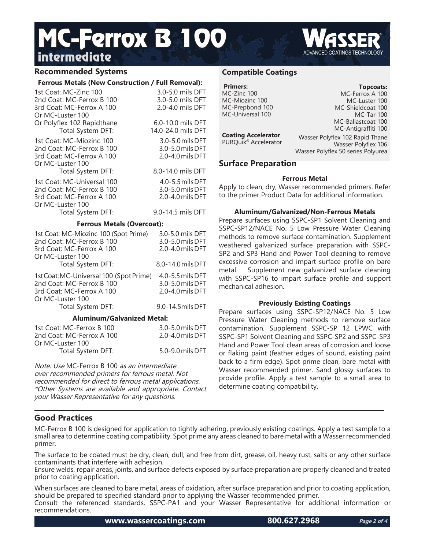### **Recommended Systems**

#### **Ferrous Metals (New Construction / Full Removal):**

| cu an inchin (i)                             | TMILINGIIIVYMI).   |
|----------------------------------------------|--------------------|
| 1st Coat: MC-Zinc 100                        | 3.0-5.0 mils DFT   |
| 2nd Coat: MC-Ferrox B 100                    | 3.0-5.0 mils DFT   |
| 3rd Coat: MC-Ferrox A 100                    | 2.0-4.0 mils DFT   |
| Or MC-Luster 100                             |                    |
| Or Polyflex 102 Rapidthane                   | 6.0-10.0 mils DFT  |
| Total System DFT:                            | 14.0-24.0 mils DFT |
| 1st Coat: MC-Miozinc 100                     | 3.0-5.0 mils DFT   |
| 2nd Coat: MC-Ferrox B 100                    | 3.0-5.0 mils DFT   |
| 3rd Coat: MC-Ferrox A 100                    | 2.0-4.0 mils DFT   |
| Or MC-Luster 100                             |                    |
| Total System DFT:                            | 8.0-14.0 mils DFT  |
| 1st Coat: MC-Universal 100                   | 4.0-5.5 mils DFT   |
| 2nd Coat: MC-Ferrox B 100                    | 3.0-5.0 mils DFT   |
| 3rd Coat: MC-Ferrox A 100                    | 2.0-4.0 mils DFT   |
| Or MC-Luster 100                             |                    |
| Total System DFT:                            | 9.0-14.5 mils DFT  |
| <b>Ferrous Metals (Overcoat):</b>            |                    |
| 1st Coat: MC-Miozinc 100 (Spot Prime)        | 3.0-5.0 mils DFT   |
| 2nd Coat: MC-Ferrox B 100                    | 3.0-5.0 mils DFT   |
| 3rd Coat: MC-Ferrox A 100                    | 2.0-4.0 mils DFT   |
| Or MC-Luster 100                             |                    |
| Total System DFT:                            | 8.0-14.0 mils DFT  |
| 1st Coat: MC-Universal 100 (Spot Prime)      | 4.0-5.5 mils DFT   |
| 2nd Coat: MC-Ferrox B 100                    | 3.0-5.0 mils DFT   |
| 3rd Coat: MC-Ferrox A 100                    | 2.0-4.0 mils DFT   |
| Or MC-Luster 100                             |                    |
| Total System DFT:                            | 9.0-14.5milsDFT    |
| <b>Aluminum/Galvanized Metal:</b>            |                    |
| 1st Coat: MC-Ferrox B 100                    | 3.0-5.0 mils DFT   |
| 2nd Coat: MC-Ferrox A 100                    | 2.0-4.0 mils DFT   |
| Or MC-Luster 100                             |                    |
| Total System DFT:                            | 5.0-9.0 mils DFT   |
|                                              |                    |
| Note: Use MC-Ferrox B 100 as an intermediate |                    |

over recommended primers for ferrous metal. Not recommended for direct to ferrous metal applications. \*Other Systems are available and appropriate. Contact your Wasser Representative for any questions.

#### **Compatible Coatings**

| <b>Primers:</b><br>MC-Zinc 100<br>MC-Miozinc 100<br>MC-Prepbond 100<br>MC-Universal 100<br><b>Coating Accelerator</b><br>PURQuik <sup>®</sup> Accelerator | Topcoats:<br>MC-Ferrox A 100<br>MC-Luster 100<br>MC-Shieldcoat 100<br><b>MC-Tar 100</b><br>MC-Ballastcoat 100<br>MC-Antigraffiti 100<br>Wasser Polyflex 102 Rapid Thane<br>Wasser Polyflex 106 |  |
|-----------------------------------------------------------------------------------------------------------------------------------------------------------|------------------------------------------------------------------------------------------------------------------------------------------------------------------------------------------------|--|
|                                                                                                                                                           | Wasser Polyflex 50 series Polyurea                                                                                                                                                             |  |
| <b>Surface Preparation</b>                                                                                                                                |                                                                                                                                                                                                |  |
| <b>Ferrous Metal</b>                                                                                                                                      |                                                                                                                                                                                                |  |

Apply to clean, dry, Wasser recommended primers. Refer to the primer Product Data for additional information.

#### **Aluminum/Galvanized/Non-Ferrous Metals**

Prepare surfaces using SSPC-SP1 Solvent Cleaning and SSPC-SP12/NACE No. 5 Low Pressure Water Cleaning methods to remove surface contamination. Supplement weathered galvanized surface preparation with SSPC-SP2 and SP3 Hand and Power Tool cleaning to remove excessive corrosion and impart surface profile on bare metal. Supplement new galvanized surface cleaning with SSPC-SP16 to impart surface profile and support mechanical adhesion.

#### **Previously Existing Coatings**

Prepare surfaces using SSPC-SP12/NACE No. 5 Low Pressure Water Cleaning methods to remove surface contamination. Supplement SSPC-SP 12 LPWC with SSPC-SP1 Solvent Cleaning and SSPC-SP2 and SSPC-SP3 Hand and Power Tool clean areas of corrosion and loose or flaking paint (feather edges of sound, existing paint back to a firm edge). Spot prime clean, bare metal with Wasser recommended primer. Sand glossy surfaces to provide profile. Apply a test sample to a small area to determine coating compatibility.

### **Good Practices**

MC-Ferrox B 100 is designed for application to tightly adhering, previously existing coatings. Apply a test sample to a small area to determine coating compatibility. Spot prime any areas cleaned to bare metal with a Wasser recommended primer.

The surface to be coated must be dry, clean, dull, and free from dirt, grease, oil, heavy rust, salts or any other surface contaminants that interfere with adhesion.

Ensure welds, repair areas, joints, and surface defects exposed by surface preparation are properly cleaned and treated prior to coating application.

When surfaces are cleaned to bare metal, areas of oxidation, after surface preparation and prior to coating application, should be prepared to specified standard prior to applying the Wasser recommended primer. Consult the referenced standards, SSPC-PA1 and your Wasser Representative for additional information or recommendations.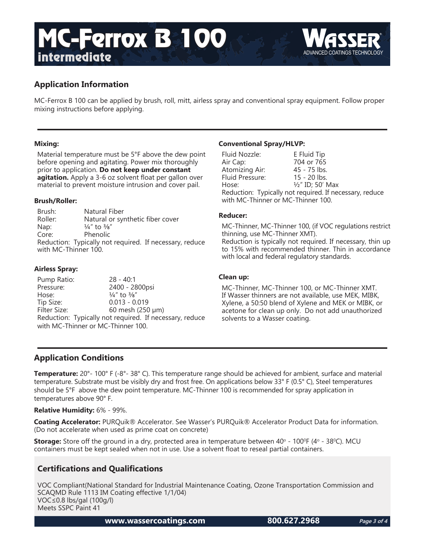

MC-Ferrox B 100 can be applied by brush, roll, mitt, airless spray and conventional spray equipment. Follow proper mixing instructions before applying.

#### **Mixing:**

Material temperature must be 5°F above the dew point before opening and agitating. Power mix thoroughly prior to application. **Do not keep under constant agitation.** Apply a 3-6 oz solvent float per gallon over material to prevent moisture intrusion and cover pail.

#### **Brush/Roller:**

Brush: Natural Fiber Roller: Natural or synthetic fiber cover Nap:  $\frac{1}{4}$ " to  $\frac{3}{8}$ " Core: Phenolic Reduction: Typically not required. If necessary, reduce with MC-Thinner 100.

#### **Airless Spray:**

Pump Ratio: 28 - 40:1 Pressure: 2400 - 2800psi Hose:  $\frac{1}{4}$ " to  $\frac{3}{8}$ " Tip Size: 0.013 - 0.019<br>Filter Size: 60 mesh (250  $60$  mesh (250  $\mu$ m) Reduction: Typically not required. If necessary, reduce with MC-Thinner or MC-Thinner 100.

#### **Conventional Spray/HLVP:**

| Fluid Nozzle:                                           | E Fluid Tip      |  |
|---------------------------------------------------------|------------------|--|
| Air Cap:                                                | 704 or 765       |  |
| Atomizing Air:                                          | 45 - 75 lbs.     |  |
| Fluid Pressure:                                         | $15 - 20$ lbs.   |  |
| Hose:                                                   | 1/2" ID; 50' Max |  |
| Reduction: Typically not required. If necessary, reduce |                  |  |
| with MC-Thinner or MC-Thinner 100.                      |                  |  |

#### **Reducer:**

MC-Thinner, MC-Thinner 100, (if VOC regulations restrict thinning, use MC-Thinner XMT). Reduction is typically not required. If necessary, thin up to 15% with recommended thinner. Thin in accordance with local and federal regulatory standards.

#### **Clean up:**

MC-Thinner, MC-Thinner 100, or MC-Thinner XMT. If Wasser thinners are not available, use MEK, MIBK, Xylene, a 50:50 blend of Xylene and MEK or MIBK, or acetone for clean up only. Do not add unauthorized solvents to a Wasser coating.

### **Application Conditions**

**Temperature:** 20°- 100° F (-8°- 38° C). This temperature range should be achieved for ambient, surface and material temperature. Substrate must be visibly dry and frost free. On applications below 33° F (0.5° C), Steel temperatures should be 5°F above the dew point temperature. MC-Thinner 100 is recommended for spray application in temperatures above 90° F.

**Relative Humidity:** 6% - 99%.

**Coating Accelerator:** PURQuik® Accelerator. See Wasser's PURQuik® Accelerator Product Data for information. (Do not accelerate when used as prime coat on concrete)

**Storage:** Store off the ground in a dry, protected area in temperature between 40° - 100°F (4° - 38°C). MCU containers must be kept sealed when not in use. Use a solvent float to reseal partial containers.

## **Certifications and Qualifications**

VOC Compliant(National Standard for Industrial Maintenance Coating, Ozone Transportation Commission and SCAQMD Rule 1113 IM Coating effective 1/1/04) VOC≤0.8 lbs/gal (100g/l) Meets SSPC Paint 41

**www.wassercoatings.com 800.627.2968**